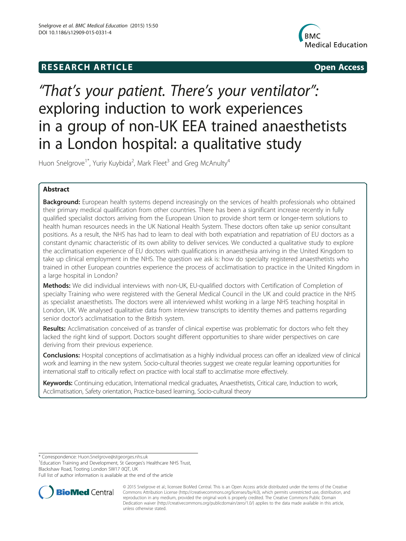# **RESEARCH ARTICLE Example 2014 The SEAR CH ACCESS**



# "That's your patient. There's your ventilator": exploring induction to work experiences in a group of non-UK EEA trained anaesthetists in a London hospital: a qualitative study

Huon Snelgrove<sup>1\*</sup>, Yuriy Kuybida<sup>2</sup>, Mark Fleet<sup>3</sup> and Greg McAnulty<sup>4</sup>

# Abstract

Background: European health systems depend increasingly on the services of health professionals who obtained their primary medical qualification from other countries. There has been a significant increase recently in fully qualified specialist doctors arriving from the European Union to provide short term or longer-term solutions to health human resources needs in the UK National Health System. These doctors often take up senior consultant positions. As a result, the NHS has had to learn to deal with both expatriation and repatriation of EU doctors as a constant dynamic characteristic of its own ability to deliver services. We conducted a qualitative study to explore the acclimatisation experience of EU doctors with qualifications in anaesthesia arriving in the United Kingdom to take up clinical employment in the NHS. The question we ask is: how do specialty registered anaesthetists who trained in other European countries experience the process of acclimatisation to practice in the United Kingdom in a large hospital in London?

Methods: We did individual interviews with non-UK, EU-qualified doctors with Certification of Completion of specialty Training who were registered with the General Medical Council in the UK and could practice in the NHS as specialist anaesthetists. The doctors were all interviewed whilst working in a large NHS teaching hospital in London, UK. We analysed qualitative data from interview transcripts to identity themes and patterns regarding senior doctor's acclimatisation to the British system.

Results: Acclimatisation conceived of as transfer of clinical expertise was problematic for doctors who felt they lacked the right kind of support. Doctors sought different opportunities to share wider perspectives on care deriving from their previous experience.

**Conclusions:** Hospital conceptions of acclimatisation as a highly individual process can offer an idealized view of clinical work and learning in the new system. Socio-cultural theories suggest we create regular learning opportunities for international staff to critically reflect on practice with local staff to acclimatise more effectively.

Keywords: Continuing education, International medical graduates, Anaesthetists, Critical care, Induction to work, Acclimatisation, Safety orientation, Practice-based learning, Socio-cultural theory

\* Correspondence: [Huon.Snelgrove@stgeorges.nhs.uk](mailto:Huon.Snelgrove@stgeorges.nhs.uk) <sup>1</sup>

<sup>1</sup>Education Training and Development, St Georges's Healthcare NHS Trust, Blackshaw Road, Tooting London SW17 0QT, UK

Full list of author information is available at the end of the article



© 2015 Snelgrove et al.; licensee BioMed Central. This is an Open Access article distributed under the terms of the Creative Commons Attribution License [\(http://creativecommons.org/licenses/by/4.0\)](http://creativecommons.org/licenses/by/4.0), which permits unrestricted use, distribution, and reproduction in any medium, provided the original work is properly credited. The Creative Commons Public Domain Dedication waiver [\(http://creativecommons.org/publicdomain/zero/1.0/](http://creativecommons.org/publicdomain/zero/1.0/)) applies to the data made available in this article, unless otherwise stated.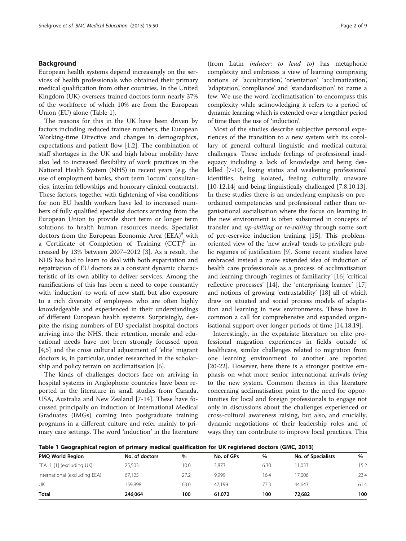#### Background

European health systems depend increasingly on the services of health professionals who obtained their primary medical qualification from other countries. In the United Kingdom (UK) overseas trained doctors form nearly 37% of the workforce of which 10% are from the European Union (EU) alone (Table 1).

The reasons for this in the UK have been driven by factors including reduced trainee numbers, the European Working-time Directive and changes in demographics, expectations and patient flow [\[1,2](#page-8-0)]. The combination of staff shortages in the UK and high labour mobility have also led to increased flexibility of work practices in the National Health System (NHS) in recent years (e.g. the use of employment banks, short term 'locum' consultancies, interim fellowships and honorary clinical contracts). These factors, together with tightening of visa conditions for non EU health workers have led to increased numbers of fully qualified specialist doctors arriving from the European Union to provide short term or longer term solutions to health human resources needs. Specialist doctors from the European Economic Area  $(EEA)^a$  with a Certificate of Completion of Training  $(CCT)^b$  increased by 13% between 2007–2012 [[3\]](#page-8-0). As a result, the NHS has had to learn to deal with both expatriation and repatriation of EU doctors as a constant dynamic characteristic of its own ability to deliver services. Among the ramifications of this has been a need to cope constantly with 'induction' to work of new staff, but also exposure to a rich diversity of employees who are often highly knowledgeable and experienced in their understandings of different European health systems. Surprisingly, despite the rising numbers of EU specialist hospital doctors arriving into the NHS, their retention, morale and educational needs have not been strongly focussed upon [[4,5\]](#page-8-0) and the cross cultural adjustment of 'elite' migrant doctors is, in particular, under researched in the scholarship and policy terrain on acclimatisation [[6](#page-8-0)].

The kinds of challenges doctors face on arriving in hospital systems in Anglophone countries have been reported in the literature in small studies from Canada, USA, Australia and New Zealand [[7-14](#page-8-0)]. These have focussed principally on induction of International Medical Graduates (IMGs) coming into postgraduate training programs in a different culture and refer mainly to primary care settings. The word 'induction' in the literature (from Latin inducer: to lead to) has metaphoric complexity and embraces a view of learning comprising notions of 'acculturation', 'orientation' 'acclimatization', 'adaptation', 'compliance' and 'standardisation' to name a few. We use the word 'acclimatisation' to encompass this complexity while acknowledging it refers to a period of dynamic learning which is extended over a lengthier period of time than the use of 'induction'.

Most of the studies describe subjective personal experiences of the transition to a new system with its corollary of general cultural linguistic and medical-cultural challenges. These include feelings of professional inadequacy including a lack of knowledge and being deskilled [\[7](#page-8-0)-[10](#page-8-0)], losing status and weakening professional identities, being isolated, feeling culturally unaware [[10-12,14](#page-8-0)] and being linguistically challenged [\[7,8,10,13](#page-8-0)]. In these studies there is an underlying emphasis on preordained competencies and professional rather than organisational socialisation where the focus on learning in the new environment is often subsumed in concepts of transfer and up-skilling or re-skilling through some sort of pre-eservice induction training [\[15\]](#page-8-0). This problemoriented view of the 'new arrival' tends to privilege public regimes of justification [\[9\]](#page-8-0). Some recent studies have embraced instead a more extended idea of induction of health care professionals as a process of acclimatisation and learning through 'regimes of familiarity' [\[16](#page-8-0)] 'critical reflective processes' [[14](#page-8-0)], the 'enterprising learner' [[17](#page-8-0)] and notions of growing 'entrustability' [[18\]](#page-8-0) all of which draw on situated and social process models of adaptation and learning in new environments. These have in common a call for comprehensive and expanded organisational support over longer periods of time [[14,18,19](#page-8-0)].

Interestingly, in the expatriate literature on elite professional migration experiences in fields outside of healthcare, similar challenges related to migration from one learning environment to another are reported [[20-22](#page-8-0)]. However, here there is a stronger positive emphasis on what more senior international arrivals bring to the new system. Common themes in this literature concerning acclimatisation point to the need for opportunities for local and foreign professionals to engage not only in discussions about the challenges experienced or cross-cultural awareness raising, but also, and crucially, dynamic negotiations of their leadership roles and of ways they can contribute to improve local practices. This

Table 1 Geographical region of primary medical qualification for UK registered doctors (GMC, 2013)

| <b>PMQ World Region</b>       | No. of doctors | $\%$ | No. of GPs | %    | No. of Specialists | $\%$ |
|-------------------------------|----------------|------|------------|------|--------------------|------|
| EEA11 [1] (excluding UK)      | 25,503         | 10.0 | 3,873      | 6.30 | 11.033             | 15.2 |
| International (excluding EEA) | 67.125         | 27.2 | 9.999      | 16.4 | 17.006             | 23.4 |
| UK                            | 159.898        | 63.0 | 47.199     | 77.3 | 44.643             | 61.4 |
| <b>Total</b>                  | 246.064        | 100  | 61.072     | 100  | 72.682             | 100  |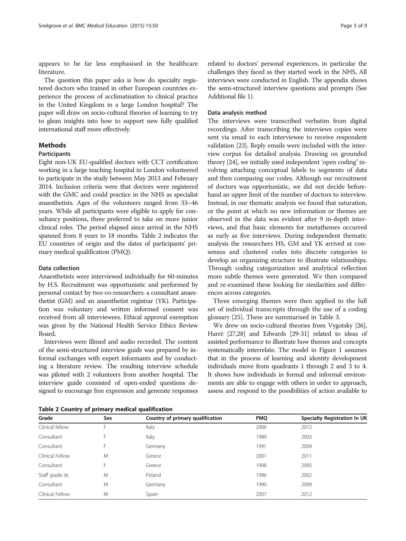appears to be far less emphasised in the healthcare literature.

The question this paper asks is how do specialty registered doctors who trained in other European countries experience the process of acclimatisation to clinical practice in the United Kingdom in a large London hospital? The paper will draw on socio-cultural theories of learning to try to glean insights into how to support new fully qualified international staff more effectively.

# Methods

# Participants

Eight non-UK EU-qualified doctors with CCT certification working in a large teaching hospital in London volunteered to participate in the study between May 2013 and February 2014. Inclusion criteria were that doctors were registered with the GMC and could practice in the NHS as specialist anaesthetists. Ages of the volunteers ranged from 33–46 years. While all participants were eligible to apply for consultancy positions, three preferred to take on more junior clinical roles. The period elapsed since arrival in the NHS spanned from 8 years to 18 months. Table 2 indicates the EU countries of origin and the dates of participants' primary medical qualification (PMQ).

#### Data collection

Anaesthetists were interviewed individually for 60-minutes by H.S. Recruitment was opportunistic and performed by personal contact by two co-researchers: a consultant anaesthetist (GM) and an anaesthetist registrar (YK). Participation was voluntary and written informed consent was received from all interviewees. Ethical approval exemption was given by the National Health Service Ethics Review Board.

Interviews were filmed and audio recorded. The content of the semi-structured interview guide was prepared by informal exchanges with expert informants and by conducting a literature review. The resulting interview schedule was piloted with 2 volunteers from another hospital. The interview guide consisted of open-ended questions designed to encourage free expression and generate responses

#### Data analysis method

The interviews were transcribed verbatim from digital recordings. After transcribing the interviews copies were sent via email to each interviewee to receive respondent validation [[23](#page-8-0)]. Reply emails were included with the interview corpus for detailed analysis. Drawing on grounded theory [[24](#page-8-0)], we initially used independent 'open coding' involving attaching conceptual labels to segments of data and then comparing our codes. Although our recruitment of doctors was opportunistic, we did not decide beforehand an upper limit of the number of doctors to interview. Instead, in our thematic analysis we found that saturation, or the point at which no new information or themes are observed in the data was evident after 9 in-depth interviews, and that basic elements for metathemes occurred as early as five interviews. During independent thematic analysis the researchers HS, GM and YK arrived at consensus and clustered codes into discrete categories to develop an organizing structure to illustrate relationships. Through coding categorization and analytical reflection more subtle themes were generated. We then compared and re-examined these looking for similarities and differences across categories.

Three emerging themes were then applied to the full set of individual transcripts through the use of a coding glossary [\[25](#page-8-0)]. These are summarised in Table [3](#page-3-0).

We drew on socio-cultural theories from Vygotsky [\[26](#page-8-0)], Harré [\[27,28](#page-8-0)] and Edwards [\[29-31\]](#page-8-0) related to ideas of assisted performance to illustrate how themes and concepts systematically interrelate. The model in Figure [1](#page-3-0) assumes that in the process of learning and identity development individuals move from quadrants 1 through 2 and 3 to 4. It shows how individuals in formal and informal environments are able to engage with others in order to approach, assess and respond to the possibilities of action available to

Table 2 Country of primary medical qualification

| Grade           | Sex | Country of primary qualification | <b>PMQ</b> | Specialty Registration In UK |
|-----------------|-----|----------------------------------|------------|------------------------------|
| Clinical fellow |     | Italy                            | 2006       | 2012                         |
| Consultant      |     | Italy                            | 1989       | 2003                         |
| Consultant      |     | Germany                          | 1991       | 2004                         |
| Clinical Fellow | M   | Greece                           | 2001       | 2011                         |
| Consultant      |     | Greece                           | 1998       | 2005                         |
| Staff grade dr. | M   | Poland                           | 1996       | 2002                         |
| Consultant      | M   | Germany                          | 1990       | 2009                         |
| Clinical Fellow | M   | Spain                            | 2007       | 2012                         |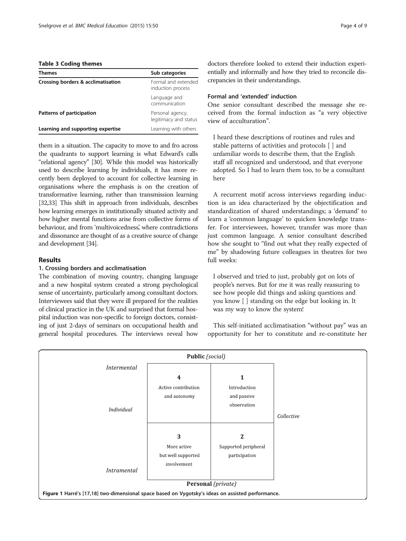#### <span id="page-3-0"></span>Table 3 Coding themes

| <b>Themes</b>                      | Sub categories                            |
|------------------------------------|-------------------------------------------|
| Crossing borders & acclimatisation | Formal and extended<br>induction process  |
|                                    | Language and<br>communication             |
| Patterns of participation          | Personal agency,<br>legitimacy and status |
| Learning and supporting expertise  | Learning with others                      |

them in a situation. The capacity to move to and fro across the quadrants to support learning is what Edward's calls "relational agency" [\[30\]](#page-8-0). While this model was historically used to describe learning by individuals, it has more recently been deployed to account for collective learning in organisations where the emphasis is on the creation of transformative learning, rather than transmission learning [[32,33\]](#page-8-0) This shift in approach from individuals, describes how learning emerges in institutionally situated activity and how higher mental functions arise from collective forms of behaviour, and from 'multivoicedness', where contradictions and dissonance are thought of as a creative source of change and development [\[34\]](#page-8-0).

# Results

### 1. Crossing borders and acclimatisation

The combination of moving country, changing language and a new hospital system created a strong psychological sense of uncertainty, particularly among consultant doctors. Interviewees said that they were ill prepared for the realities of clinical practice in the UK and surprised that formal hospital induction was non-specific to foreign doctors, consisting of just 2-days of seminars on occupational health and general hospital procedures. The interviews reveal how doctors therefore looked to extend their induction experientially and informally and how they tried to reconcile discrepancies in their understandings.

## Formal and 'extended' induction

One senior consultant described the message she received from the formal induction as "a very objective view of acculturation".

I heard these descriptions of routines and rules and stable patterns of activities and protocols [ ] and unfamiliar words to describe them, that the English staff all recognized and understood, and that everyone adopted. So I had to learn them too, to be a consultant here

A recurrent motif across interviews regarding induction is an idea characterized by the objectification and standardization of shared understandings; a 'demand' to learn a 'common language' to quicken knowledge transfer. For interviewees, however, transfer was more than just common language. A senior consultant described how she sought to "find out what they really expected of me" by shadowing future colleagues in theatres for two full weeks:

I observed and tried to just, probably got on lots of people's nerves. But for me it was really reassuring to see how people did things and asking questions and you know [ ] standing on the edge but looking in. It was my way to know the system!

This self-initiated acclimatisation "without pay" was an opportunity for her to constitute and re-constitute her

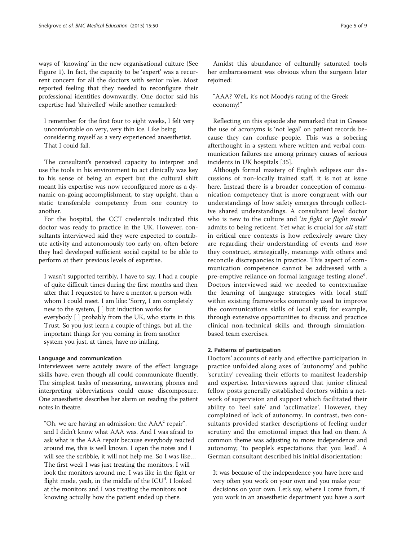ways of 'knowing' in the new organisational culture (See Figure [1](#page-3-0)). In fact, the capacity to be 'expert' was a recurrent concern for all the doctors with senior roles. Most reported feeling that they needed to reconfigure their professional identities downwardly. One doctor said his expertise had 'shrivelled' while another remarked:

I remember for the first four to eight weeks, I felt very uncomfortable on very, very thin ice. Like being considering myself as a very experienced anaesthetist. That I could fall.

The consultant's perceived capacity to interpret and use the tools in his environment to act clinically was key to his sense of being an expert but the cultural shift meant his expertise was now reconfigured more as a dynamic on-going accomplishment, to stay upright, than a static transferable competency from one country to another.

For the hospital, the CCT credentials indicated this doctor was ready to practice in the UK. However, consultants interviewed said they were expected to contribute activity and autonomously too early on, often before they had developed sufficient social capital to be able to perform at their previous levels of expertise.

I wasn't supported terribly, I have to say. I had a couple of quite difficult times during the first months and then after that I requested to have a mentor, a person with whom I could meet. I am like: 'Sorry, I am completely new to the system, [ ] but induction works for everybody [ ] probably from the UK, who starts in this Trust. So you just learn a couple of things, but all the important things for you coming in from another system you just, at times, have no inkling.

#### Language and communication

Interviewees were acutely aware of the effect language skills have, even though all could communicate fluently. The simplest tasks of measuring, answering phones and interpreting abbreviations could cause discomposure. One anaesthetist describes her alarm on reading the patient notes in theatre.

"Oh, we are having an admission: the  $AAA<sup>c</sup>$  repair", and I didn't know what AAA was. And I was afraid to ask what is the AAA repair because everybody reacted around me, this is well known. I open the notes and I will see the scribble, it will not help me. So I was like… The first week I was just treating the monitors, I will look the monitors around me, I was like in the fight or flight mode, yeah, in the middle of the ICU<sup>d</sup>. I looked at the monitors and I was treating the monitors not knowing actually how the patient ended up there.

Amidst this abundance of culturally saturated tools her embarrassment was obvious when the surgeon later rejoined:

"AAA? Well, it's not Moody's rating of the Greek economy!"

Reflecting on this episode she remarked that in Greece the use of acronyms is 'not legal' on patient records because they can confuse people. This was a sobering afterthought in a system where written and verbal communication failures are among primary causes of serious incidents in UK hospitals [\[35](#page-8-0)].

Although formal mastery of English eclipses our discussions of non-locally trained staff, it is not at issue here. Instead there is a broader conception of communication competency that is more congruent with our understandings of how safety emerges through collective shared understandings. A consultant level doctor who is new to the culture and 'in fight or flight mode' admits to being reticent. Yet what is crucial for all staff in critical care contexts is how reflexively aware they are regarding their understanding of events and how they construct, strategically, meanings with others and reconcile discrepancies in practice. This aspect of communication competence cannot be addressed with a pre-emptive reliance on formal language testing alone<sup>e</sup>. Doctors interviewed said we needed to contextualize the learning of language strategies with local staff within existing frameworks commonly used to improve the communications skills of local staff; for example, through extensive opportunities to discuss and practice clinical non-technical skills and through simulationbased team exercises.

# 2. Patterns of participation

Doctors' accounts of early and effective participation in practice unfolded along axes of 'autonomy' and public 'scrutiny' revealing their efforts to manifest leadership and expertise. Interviewees agreed that junior clinical fellow posts generally established doctors within a network of supervision and support which facilitated their ability to 'feel safe' and 'acclimatize'. However, they complained of lack of autonomy. In contrast, two consultants provided starker descriptions of feeling under scrutiny and the emotional impact this had on them. A common theme was adjusting to more independence and autonomy; 'to people's expectations that you lead'. A German consultant described his initial disorientation:

It was because of the independence you have here and very often you work on your own and you make your decisions on your own. Let's say, where I come from, if you work in an anaesthetic department you have a sort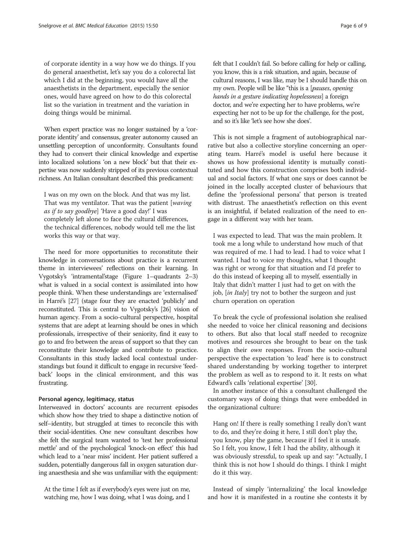of corporate identity in a way how we do things. If you do general anaesthetist, let's say you do a colorectal list which I did at the beginning, you would have all the anaesthetists in the department, especially the senior ones, would have agreed on how to do this colorectal list so the variation in treatment and the variation in doing things would be minimal.

When expert practice was no longer sustained by a 'corporate identity' and consensus, greater autonomy caused an unsettling perception of unconformity. Consultants found they had to convert their clinical knowledge and expertise into localized solutions 'on a new block' but that their expertise was now suddenly stripped of its previous contextual richness. An Italian consultant described this predicament:

I was on my own on the block. And that was my list. That was my ventilator. That was the patient [waving as if to say goodbye] 'Have a good day!' I was completely left alone to face the cultural differences, the technical differences, nobody would tell me the list works this way or that way.

The need for more opportunities to reconstitute their knowledge in conversations about practice is a recurrent theme in interviewees' reflections on their learning. In Vygotsky's 'intramental'stage (Figure [1](#page-3-0)–quadrants 2–3) what is valued in a social context is assimilated into how people think. When these understandings are 'externalised' in Harré's [\[27\]](#page-8-0) (stage four they are enacted 'publicly' and reconstituted. This is central to Vygotsky's [[26](#page-8-0)] vision of human agency. From a socio-cultural perspective, hospital systems that are adept at learning should be ones in which professionals, irrespective of their seniority, find it easy to go to and fro between the areas of support so that they can reconstitute their knowledge and contribute to practice. Consultants in this study lacked local contextual understandings but found it difficult to engage in recursive 'feedback' loops in the clinical environment, and this was frustrating.

## Personal agency, legitimacy, status

Interweaved in doctors' accounts are recurrent episodes which show how they tried to shape a distinctive notion of self–identity, but struggled at times to reconcile this with their social-identities. One new consultant describes how she felt the surgical team wanted to 'test her professional mettle' and of the psychological 'knock-on effect' this had which lead to a 'near miss' incident. Her patient suffered a sudden, potentially dangerous fall in oxygen saturation during anaesthesia and she was unfamiliar with the equipment:

At the time I felt as if everybody's eyes were just on me, watching me, how I was doing, what I was doing, and I

felt that I couldn't fail. So before calling for help or calling, you know, this is a risk situation, and again, because of cultural reasons, I was like, may be I should handle this on my own. People will be like "this is a [pauses, opening hands in a gesture indicating hopelessness] a foreign doctor, and we're expecting her to have problems, we're expecting her not to be up for the challenge, for the post, and so it's like 'let's see how she does'.

This is not simple a fragment of autobiographical narrative but also a collective storyline concerning an operating team. Harré's model is useful here because it shows us how professional identity is mutually constituted and how this construction comprises both individual and social factors. If what one says or does cannot be joined in the locally accepted cluster of behaviours that define the 'professional persona' that person is treated with distrust. The anaesthetist's reflection on this event is an insightful, if belated realization of the need to engage in a different way with her team.

I was expected to lead. That was the main problem. It took me a long while to understand how much of that was required of me. I had to lead. I had to voice what I wanted. I had to voice my thoughts, what I thought was right or wrong for that situation and I'd prefer to do this instead of keeping all to myself, essentially in Italy that didn't matter I just had to get on with the job, [in Italy] try not to bother the surgeon and just churn operation on operation

To break the cycle of professional isolation she realised she needed to voice her clinical reasoning and decisions to others. But also that local staff needed to recognize motives and resources she brought to bear on the task to align their own responses. From the socio-cultural perspective the expectation 'to lead' here is to construct shared understanding by working together to interpret the problem as well as to respond to it. It rests on what Edward's calls 'relational expertise' [\[30](#page-8-0)].

In another instance of this a consultant challenged the customary ways of doing things that were embedded in the organizational culture:

Hang on! If there is really something I really don't want to do, and they're doing it here, I still don't play the, you know, play the game, because if I feel it is unsafe. So I felt, you know, I felt I had the ability, although it was obviously stressful, to speak up and say: "Actually, I think this is not how I should do things. I think I might do it this way.

Instead of simply 'internalizing' the local knowledge and how it is manifested in a routine she contests it by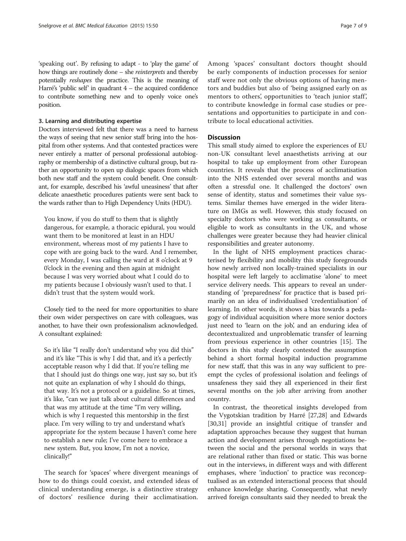'speaking out'. By refusing to adapt - to 'play the game' of how things are routinely done – she reinterprets and thereby potentially reshapes the practice. This is the meaning of Harré's 'public self' in quadrant 4 – the acquired confidence to contribute something new and to openly voice one's position.

#### 3. Learning and distributing expertise

Doctors interviewed felt that there was a need to harness the ways of seeing that new senior staff bring into the hospital from other systems. And that contested practices were never entirely a matter of personal professional autobiography or membership of a distinctive cultural group, but rather an opportunity to open up dialogic spaces from which both new staff and the system could benefit. One consultant, for example, described his 'awful uneasiness' that after delicate anaesthetic procedures patients were sent back to the wards rather than to High Dependency Units (HDU).

You know, if you do stuff to them that is slightly dangerous, for example, a thoracic epidural, you would want them to be monitored at least in an HDU environment, whereas most of my patients I have to cope with are going back to the ward. And I remember, every Monday, I was calling the ward at 8 o'clock at 9 0'clock in the evening and then again at midnight because I was very worried about what I could do to my patients because I obviously wasn't used to that. I didn't trust that the system would work.

Closely tied to the need for more opportunities to share their own wider perspectives on care with colleagues, was another, to have their own professionalism acknowledged. A consultant explained:

So it's like "I really don't understand why you did this" and it's like "This is why I did that, and it's a perfectly acceptable reason why I did that. If you're telling me that I should just do things one way, just say so, but it's not quite an explanation of why I should do things, that way. It's not a protocol or a guideline. So at times, it's like, "can we just talk about cultural differences and that was my attitude at the time "I'm very willing, which is why I requested this mentorship in the first place. I'm very willing to try and understand what's appropriate for the system because I haven't come here to establish a new rule; I've come here to embrace a new system. But, you know, I'm not a novice, clinically!"

The search for 'spaces' where divergent meanings of how to do things could coexist, and extended ideas of clinical understanding emerge, is a distinctive strategy of doctors' resilience during their acclimatisation.

Among 'spaces' consultant doctors thought should be early components of induction processes for senior staff were not only the obvious options of having mentors and buddies but also of 'being assigned early on as mentors to others', opportunities to 'teach junior staff', to contribute knowledge in formal case studies or presentations and opportunities to participate in and contribute to local educational activities.

# Discussion

This small study aimed to explore the experiences of EU non-UK consultant level anaesthetists arriving at our hospital to take up employment from other European countries. It reveals that the process of acclimatisation into the NHS extended over several months and was often a stressful one. It challenged the doctors' own sense of identity, status and sometimes their value systems. Similar themes have emerged in the wider literature on IMGs as well. However, this study focused on specialty doctors who were working as consultants, or eligible to work as consultants in the UK, and whose challenges were greater because they had heavier clinical responsibilities and greater autonomy.

In the light of NHS employment practices characterised by flexibility and mobility this study foregrounds how newly arrived non locally-trained specialists in our hospital were left largely to acclimatise 'alone' to meet service delivery needs. This appears to reveal an understanding of 'preparedness' for practice that is based primarily on an idea of individualised 'credentialisation' of learning. In other words, it shows a bias towards a pedagogy of individual acquisition where more senior doctors just need to 'learn on the job', and an enduring idea of decontextualized and unproblematic transfer of learning from previous experience in other countries [\[15](#page-8-0)]. The doctors in this study clearly contested the assumption behind a short formal hospital induction programme for new staff, that this was in any way sufficient to preempt the cycles of professional isolation and feelings of unsafeness they said they all experienced in their first several months on the job after arriving from another country.

In contrast, the theoretical insights developed from the Vygotskian tradition by Harré [\[27,28](#page-8-0)] and Edwards [[30,31\]](#page-8-0) provide an insightful critique of transfer and adaptation approaches because they suggest that human action and development arises through negotiations between the social and the personal worlds in ways that are relational rather than fixed or static. This was borne out in the interviews, in different ways and with different emphases, where 'induction' to practice was reconceptualised as an extended interactional process that should enhance knowledge sharing. Consequently, what newly arrived foreign consultants said they needed to break the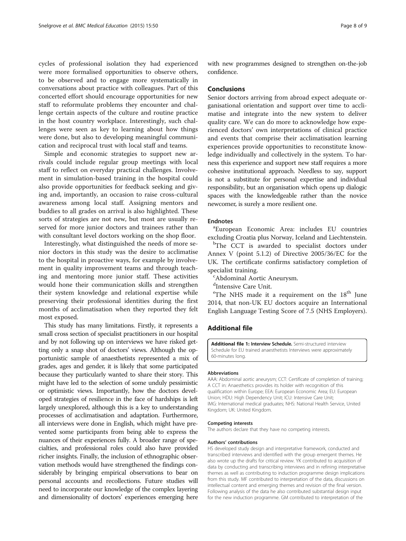<span id="page-7-0"></span>cycles of professional isolation they had experienced were more formalised opportunities to observe others, to be observed and to engage more systematically in conversations about practice with colleagues. Part of this concerted effort should encourage opportunities for new staff to reformulate problems they encounter and challenge certain aspects of the culture and routine practice in the host country workplace. Interestingly, such challenges were seen as key to learning about how things were done, but also to developing meaningful communication and reciprocal trust with local staff and teams.

Simple and economic strategies to support new arrivals could include regular group meetings with local staff to reflect on everyday practical challenges. Involvement in simulation-based training in the hospital could also provide opportunities for feedback seeking and giving and, importantly, an occasion to raise cross-cultural awareness among local staff. Assigning mentors and buddies to all grades on arrival is also highlighted. These sorts of strategies are not new, but most are usually reserved for more junior doctors and trainees rather than with consultant level doctors working on the shop floor.

Interestingly, what distinguished the needs of more senior doctors in this study was the desire to acclimatise to the hospital in proactive ways, for example by involvement in quality improvement teams and through teaching and mentoring more junior staff. These activities would hone their communication skills and strengthen their system knowledge and relational expertise while preserving their professional identities during the first months of acclimatisation when they reported they felt most exposed.

This study has many limitations. Firstly, it represents a small cross section of specialist practitioners in our hospital and by not following up on interviews we have risked getting only a snap shot of doctors' views. Although the opportunistic sample of anaesthetists represented a mix of grades, ages and gender, it is likely that some participated because they particularly wanted to share their story. This might have led to the selection of some unduly pessimistic or optimistic views. Importantly, how the doctors developed strategies of resilience in the face of hardships is left largely unexplored, although this is a key to understanding processes of acclimatisation and adaptation. Furthermore, all interviews were done in English, which might have prevented some participants from being able to express the nuances of their experiences fully. A broader range of specialties, and professional roles could also have provided richer insights. Finally, the inclusion of ethnographic observation methods would have strengthened the findings considerably by bringing empirical observations to bear on personal accounts and recollections. Future studies will need to incorporate our knowledge of the complex layering and dimensionality of doctors' experiences emerging here

with new programmes designed to strengthen on-the-job confidence.

### Conclusions

Senior doctors arriving from abroad expect adequate organisational orientation and support over time to acclimatise and integrate into the new system to deliver quality care. We can do more to acknowledge how experienced doctors' own interpretations of clinical practice and events that comprise their acclimatisation learning experiences provide opportunities to reconstitute knowledge individually and collectively in the system. To harness this experience and support new staff requires a more cohesive institutional approach. Needless to say, support is not a substitute for personal expertise and individual responsibility, but an organisation which opens up dialogic spaces with the knowledgeable rather than the novice newcomer, is surely a more resilient one.

#### **Endnotes**

a European Economic Area: includes EU countries excluding Croatia plus Norway, Iceland and Liechtenstein.

<sup>b</sup>The CCT is awarded to specialist doctors under Annex V (point 5.1.2) of Directive 2005/36/EC for the UK. The certificate confirms satisfactory completion of specialist training.

Abdominal Aortic Aneurysm.

d Intensive Care Unit.

<sup>e</sup>The NHS made it a requirement on the 18<sup>th</sup> June 2014, that non-UK EU doctors acquire an International English Language Testing Score of 7.5 (NHS Employers).

# Additional file

[Additional file 1:](http://www.biomedcentral.com/content/supplementary/s12909-015-0331-4-s1.docx) Interview Schedule. Semi-structured interview Schedule for EU trained anaesthetists Interviews were approximately 60-minutes long.

#### Abbreviations

AAA: Abdominal aortic aneurysm; CCT: Certificate of completion of training; A CCT in: Anaesthetics provides its holder with recognition of this qualification within Europe; EEA: European Economic Area; EU: European Union; HDU: High Dependency Unit; ICU: Intensive Care Unit; IMG: International medical graduates; NHS: National Health Service, United Kingdom; UK: United Kingdom.

#### Competing interests

The authors declare that they have no competing interests.

#### Authors' contributions

HS developed study design and interpretative framework, conducted and transcribed interviews and identified with the group emergent themes. He also wrote up the drafts for critical review. YK contributed to acquisition of data by conducting and transcribing interviews and in refining interpretative themes as well as contributing to induction programme design implications from this study. MF contributed to interpretation of the data, discussions on intellectual content and emerging themes and revision of the final version. Following analysis of the data he also contributed substantial design input for the new induction programme. GM contributed to interpretation of the